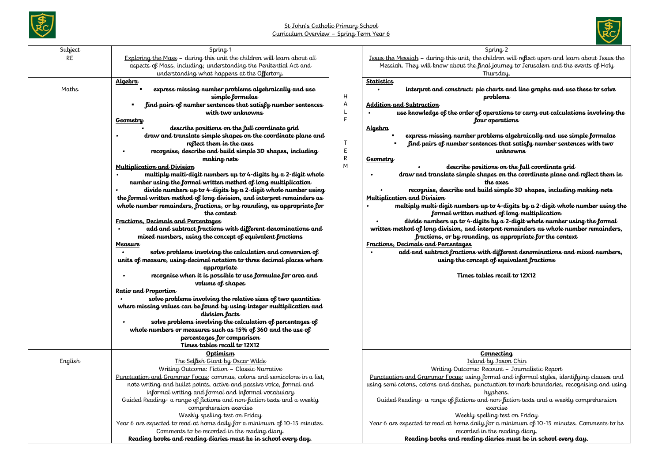



| Subject   | Spring <sub>1</sub>                                                                     |           | Spring <sub>2</sub>                                                                            |
|-----------|-----------------------------------------------------------------------------------------|-----------|------------------------------------------------------------------------------------------------|
| <b>RE</b> | Exploring the Mass - during this unit the children will learn about all                 |           | Jesus the Messiah - during this unit, the children will reflect upon and learn about Jesus the |
|           | aspects of Mass, including; understanding the Penitential Act and                       |           | Messiah. They will know about the final journey to Jerusalem and the events of Holy            |
|           | understanding what happens at the Offertory.                                            |           | Thursday.                                                                                      |
|           | <u>Algebra</u>                                                                          |           | <b>Statistics</b>                                                                              |
| Maths     | express missing number problems algebraically and use                                   |           | interpret and construct: pie charts and line graphs and use these to solve                     |
|           | simple formulae                                                                         | H         | problems                                                                                       |
|           | find pairs of number sentences that satisfy number sentences                            | Α         | <u> Addition and Subtraction</u>                                                               |
|           | with two unknowns                                                                       | L         | use knowledge of the order of operations to carry out calculations involving the               |
|           | <b>Geometry</b>                                                                         | F         | four operations                                                                                |
|           | describe positions on the full coordinate grid                                          |           | <u>Algebra</u>                                                                                 |
|           | draw and translate simple shapes on the coordinate plane and                            |           | express missing number problems algebraically and use simple formulae                          |
|           | reflect them in the axes                                                                | T         | find pairs of number sentences that satisfy number sentences with two                          |
|           | recognise, describe and build simple 3D shapes, including                               | E         | unknowns                                                                                       |
|           | making nets                                                                             | ${\sf R}$ | <b>Geometry</b>                                                                                |
|           | <u>Multiplication and Division</u>                                                      | M         | describe positions on the full coordinate grid                                                 |
|           | multiply multi-digit numbers up to 4-digits by a 2-digit whole                          |           | draw and translate simple shapes on the coordinate plane and reflect them in                   |
|           | number using the formal written method of long multiplication                           |           | the axes                                                                                       |
|           | divide numbers up to 4-digits by a 2-digit whole number using                           |           | recognise, describe and build simple 3D shapes, including making nets                          |
|           | the formal written method of long division, and interpret remainders as                 |           | Multiplication and Division                                                                    |
|           | whole number remainders, fractions, or by rounding, as appropriate for                  |           | multiply multi-digit numbers up to 4-digits by a 2-digit whole number using the                |
|           | the context                                                                             |           | formal written method of long multiplication                                                   |
|           | <u><b>Fractions, Decimals and Percentages</b></u>                                       |           | divide numbers up to 4-digits by a 2-digit whole number using the formal                       |
|           | add and subtract fractions with different denominations and<br>$\bullet$                |           | written method of long division, and interpret remainders as whole number remainders,          |
|           | mixed numbers, using the concept of equivalent fractions                                |           | fractions, or by rounding, as appropriate for the context                                      |
|           | Measure                                                                                 |           | Fractions, Decimals and Percentages                                                            |
|           | solve problems involving the calculation and conversion of                              |           | add and subtract fractions with different denominations and mixed numbers,                     |
|           | units of measure, using decimal notation to three decimal places where                  |           | using the concept of equivalent fractions                                                      |
|           | appropriate                                                                             |           |                                                                                                |
|           | recognise when it is possible to use formulae for area and                              |           | Times tables recall to 12X12                                                                   |
|           | volume of shapes                                                                        |           |                                                                                                |
|           | Ratio and Proportion                                                                    |           |                                                                                                |
|           | solve problems involving the relative sizes of two quantities                           |           |                                                                                                |
|           | where missing values can be found by using integer multiplication and<br>division lacts |           |                                                                                                |
|           | solve problems involving the calculation of percentages of                              |           |                                                                                                |
|           | whole numbers or measures such as 15% of 360 and the use of                             |           |                                                                                                |
|           | percentages for comparison                                                              |           |                                                                                                |
|           | Times tables recall to 12X12                                                            |           |                                                                                                |
|           | Optimism                                                                                |           | Connecting                                                                                     |
| English   | The Selfish Giant by Oscar Wilde                                                        |           | Island by Jason Chin                                                                           |
|           | Writing Outcome: Fiction - Classic Narrative                                            |           | Writing Outcome: Recount - Journalistic Report                                                 |
|           | Punctuation and Grammar Focus: commas, colons and semicolons in a list,                 |           | Punctuation and Grammar Focus: using formal and informal styles, identifying clauses and       |
|           | note writing and bullet points, active and passive voice, formal and                    |           | using semi colons, colons and dashes, punctuation to mark boundaries, recognising and using    |
|           | informal writing and formal and informal vocabulary                                     |           | hyphens.                                                                                       |
|           | Guided Reading a range of fictions and non-fiction texts and a weekly                   |           | Guided Reading- a range of fictions and non-fiction texts and a weekly comprehension           |
|           | comprehension exercise                                                                  |           | exercise                                                                                       |
|           | Weekly spelling test on Friday                                                          |           | Weekly spelling test on Friday                                                                 |
|           | Year 6 are expected to read at home daily for a minimum of 10-15 minutes.               |           | Year 6 are expected to read at home daily for a minimum of 10-15 minutes. Comments to be       |
|           | Comments to be recorded in the reading diary.                                           |           | recorded in the reading diary.                                                                 |
|           | Reading books and reading diaries must be in school every day.                          |           | Reading books and reading diaries must be in school every day.                                 |